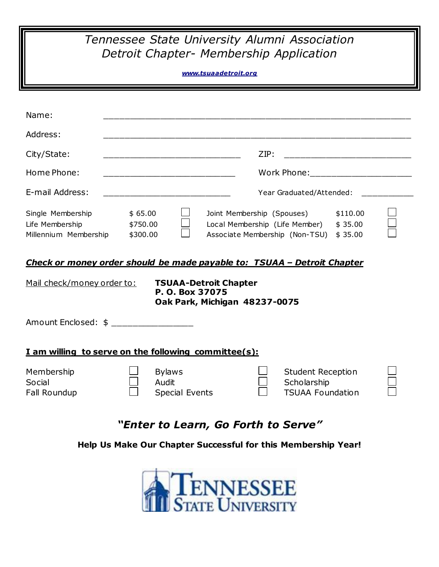## *Tennessee State University Alumni Association Detroit Chapter- Membership Application*

## *[www.tsuaadetroit.org](http://www.tsuaadetroit.org/)*

| Name:                                                                                                                                                                                     |                                                                                                                                                   |                                        |                                                                                                |                                                                    |                                |  |
|-------------------------------------------------------------------------------------------------------------------------------------------------------------------------------------------|---------------------------------------------------------------------------------------------------------------------------------------------------|----------------------------------------|------------------------------------------------------------------------------------------------|--------------------------------------------------------------------|--------------------------------|--|
| Address:                                                                                                                                                                                  |                                                                                                                                                   |                                        |                                                                                                |                                                                    |                                |  |
| City/State:                                                                                                                                                                               | ZIP:                                                                                                                                              |                                        |                                                                                                |                                                                    |                                |  |
| Home Phone:                                                                                                                                                                               |                                                                                                                                                   |                                        |                                                                                                |                                                                    |                                |  |
| E-mail Address:                                                                                                                                                                           | Year Graduated/Attended:<br><u> 2002 - Johann John Stone, mars eta bainar eta mondo eta erritmentzial erresta eta erresta erresta erresta err</u> |                                        |                                                                                                |                                                                    |                                |  |
| Single Membership<br>Life Membership<br>Millennium Membership                                                                                                                             | \$65.00<br>\$750.00<br>\$300.00                                                                                                                   |                                        | Joint Membership (Spouses)<br>Local Membership (Life Member)<br>Associate Membership (Non-TSU) |                                                                    | \$110.00<br>\$35.00<br>\$35.00 |  |
| Check or money order should be made payable to: TSUAA - Detroit Chapter<br>Mail check/money order to:<br><b>TSUAA-Detroit Chapter</b><br>P. O. Box 37075<br>Oak Park, Michigan 48237-0075 |                                                                                                                                                   |                                        |                                                                                                |                                                                    |                                |  |
| Amount Enclosed: \$ _________________                                                                                                                                                     |                                                                                                                                                   |                                        |                                                                                                |                                                                    |                                |  |
| I am willing to serve on the following committee(s):                                                                                                                                      |                                                                                                                                                   |                                        |                                                                                                |                                                                    |                                |  |
| Membership<br>Social<br>Fall Roundup                                                                                                                                                      | Audit                                                                                                                                             | <b>Bylaws</b><br><b>Special Events</b> |                                                                                                | <b>Student Reception</b><br>Scholarship<br><b>TSUAA Foundation</b> |                                |  |
| "Enter to Learn, Go Forth to Serve"                                                                                                                                                       |                                                                                                                                                   |                                        |                                                                                                |                                                                    |                                |  |

**Help Us Make Our Chapter Successful for this Membership Year!**